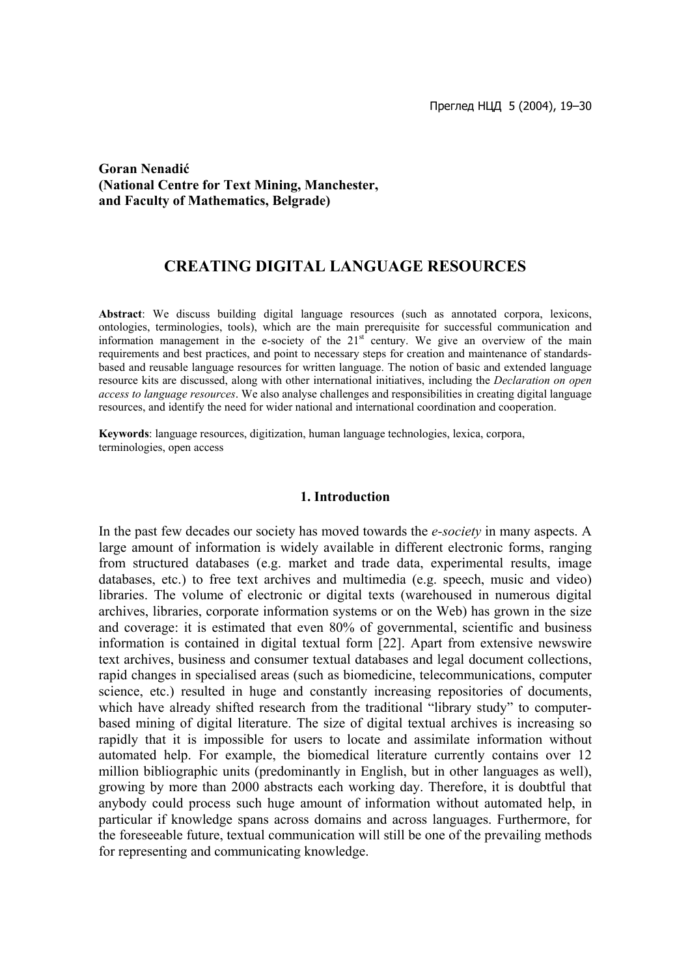## **Goran Nenadić (National Centre for Text Mining, Manchester, and Faculty of Mathematics, Belgrade)**

# **CREATING DIGITAL LANGUAGE RESOURCES**

**Abstract**: We discuss building digital language resources (such as annotated corpora, lexicons, ontologies, terminologies, tools), which are the main prerequisite for successful communication and information management in the e-society of the  $21<sup>st</sup>$  century. We give an overview of the main requirements and best practices, and point to necessary steps for creation and maintenance of standardsbased and reusable language resources for written language. The notion of basic and extended language resource kits are discussed, along with other international initiatives, including the *Declaration on open access to language resources*. We also analyse challenges and responsibilities in creating digital language resources, and identify the need for wider national and international coordination and cooperation.

**Keywords**: language resources, digitization, human language technologies, lexica, corpora, terminologies, open access

### **1. Introduction**

In the past few decades our society has moved towards the *e-society* in many aspects. A large amount of information is widely available in different electronic forms, ranging from structured databases (e.g. market and trade data, experimental results, image databases, etc.) to free text archives and multimedia (e.g. speech, music and video) libraries. The volume of electronic or digital texts (warehoused in numerous digital archives, libraries, corporate information systems or on the Web) has grown in the size and coverage: it is estimated that even 80% of governmental, scientific and business information is contained in digital textual form [22]. Apart from extensive newswire text archives, business and consumer textual databases and legal document collections, rapid changes in specialised areas (such as biomedicine, telecommunications, computer science, etc.) resulted in huge and constantly increasing repositories of documents, which have already shifted research from the traditional "library study" to computerbased mining of digital literature. The size of digital textual archives is increasing so rapidly that it is impossible for users to locate and assimilate information without automated help. For example, the biomedical literature currently contains over 12 million bibliographic units (predominantly in English, but in other languages as well), growing by more than 2000 abstracts each working day. Therefore, it is doubtful that anybody could process such huge amount of information without automated help, in particular if knowledge spans across domains and across languages. Furthermore, for the foreseeable future, textual communication will still be one of the prevailing methods for representing and communicating knowledge.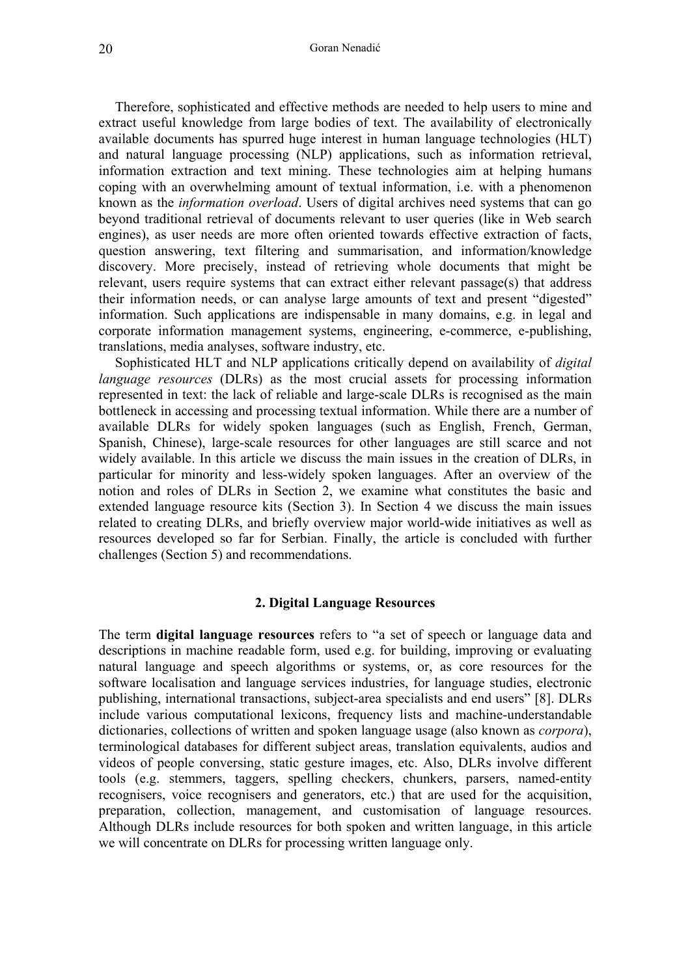Therefore, sophisticated and effective methods are needed to help users to mine and extract useful knowledge from large bodies of text. The availability of electronically available documents has spurred huge interest in human language technologies (HLT) and natural language processing (NLP) applications, such as information retrieval, information extraction and text mining. These technologies aim at helping humans coping with an overwhelming amount of textual information, i.e. with a phenomenon known as the *information overload*. Users of digital archives need systems that can go beyond traditional retrieval of documents relevant to user queries (like in Web search engines), as user needs are more often oriented towards effective extraction of facts, question answering, text filtering and summarisation, and information/knowledge discovery. More precisely, instead of retrieving whole documents that might be relevant, users require systems that can extract either relevant passage(s) that address their information needs, or can analyse large amounts of text and present "digested" information. Such applications are indispensable in many domains, e.g. in legal and corporate information management systems, engineering, e-commerce, e-publishing, translations, media analyses, software industry, etc.

 Sophisticated HLT and NLP applications critically depend on availability of *digital language resources* (DLRs) as the most crucial assets for processing information represented in text: the lack of reliable and large-scale DLRs is recognised as the main bottleneck in accessing and processing textual information. While there are a number of available DLRs for widely spoken languages (such as English, French, German, Spanish, Chinese), large-scale resources for other languages are still scarce and not widely available. In this article we discuss the main issues in the creation of DLRs, in particular for minority and less-widely spoken languages. After an overview of the notion and roles of DLRs in Section 2, we examine what constitutes the basic and extended language resource kits (Section 3). In Section 4 we discuss the main issues related to creating DLRs, and briefly overview major world-wide initiatives as well as resources developed so far for Serbian. Finally, the article is concluded with further challenges (Section 5) and recommendations.

## **2. Digital Language Resources**

The term **digital language resources** refers to "a set of speech or language data and descriptions in machine readable form, used e.g. for building, improving or evaluating natural language and speech algorithms or systems, or, as core resources for the software localisation and language services industries, for language studies, electronic publishing, international transactions, subject-area specialists and end users" [8]. DLRs include various computational lexicons, frequency lists and machine-understandable dictionaries, collections of written and spoken language usage (also known as *corpora*), terminological databases for different subject areas, translation equivalents, audios and videos of people conversing, static gesture images, etc. Also, DLRs involve different tools (e.g. stemmers, taggers, spelling checkers, chunkers, parsers, named-entity recognisers, voice recognisers and generators, etc.) that are used for the acquisition, preparation, collection, management, and customisation of language resources. Although DLRs include resources for both spoken and written language, in this article we will concentrate on DLRs for processing written language only.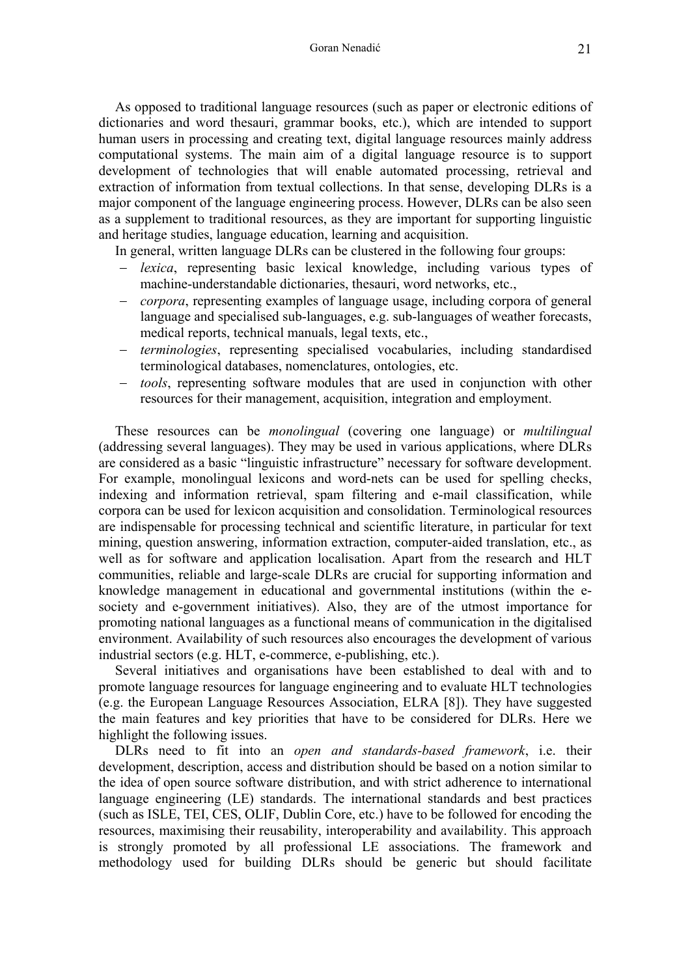As opposed to traditional language resources (such as paper or electronic editions of dictionaries and word thesauri, grammar books, etc.), which are intended to support human users in processing and creating text, digital language resources mainly address computational systems. The main aim of a digital language resource is to support development of technologies that will enable automated processing, retrieval and extraction of information from textual collections. In that sense, developing DLRs is a major component of the language engineering process. However, DLRs can be also seen as a supplement to traditional resources, as they are important for supporting linguistic and heritage studies, language education, learning and acquisition.

In general, written language DLRs can be clustered in the following four groups:

- − *lexica*, representing basic lexical knowledge, including various types of machine-understandable dictionaries, thesauri, word networks, etc.,
- *corpora*, representing examples of language usage, including corpora of general language and specialised sub-languages, e.g. sub-languages of weather forecasts, medical reports, technical manuals, legal texts, etc.,
- − *terminologies*, representing specialised vocabularies, including standardised terminological databases, nomenclatures, ontologies, etc.
- − *tools*, representing software modules that are used in conjunction with other resources for their management, acquisition, integration and employment.

These resources can be *monolingual* (covering one language) or *multilingual* (addressing several languages). They may be used in various applications, where DLRs are considered as a basic "linguistic infrastructure" necessary for software development. For example, monolingual lexicons and word-nets can be used for spelling checks, indexing and information retrieval, spam filtering and e-mail classification, while corpora can be used for lexicon acquisition and consolidation. Terminological resources are indispensable for processing technical and scientific literature, in particular for text mining, question answering, information extraction, computer-aided translation, etc., as well as for software and application localisation. Apart from the research and HLT communities, reliable and large-scale DLRs are crucial for supporting information and knowledge management in educational and governmental institutions (within the esociety and e-government initiatives). Also, they are of the utmost importance for promoting national languages as a functional means of communication in the digitalised environment. Availability of such resources also encourages the development of various industrial sectors (e.g. HLT, e-commerce, e-publishing, etc.).

 Several initiatives and organisations have been established to deal with and to promote language resources for language engineering and to evaluate HLT technologies (e.g. the European Language Resources Association, ELRA [8]). They have suggested the main features and key priorities that have to be considered for DLRs. Here we highlight the following issues.

 DLRs need to fit into an *open and standards-based framework*, i.e. their development, description, access and distribution should be based on a notion similar to the idea of open source software distribution, and with strict adherence to international language engineering (LE) standards. The international standards and best practices (such as ISLE, TEI, CES, OLIF, Dublin Core, etc.) have to be followed for encoding the resources, maximising their reusability, interoperability and availability. This approach is strongly promoted by all professional LE associations. The framework and methodology used for building DLRs should be generic but should facilitate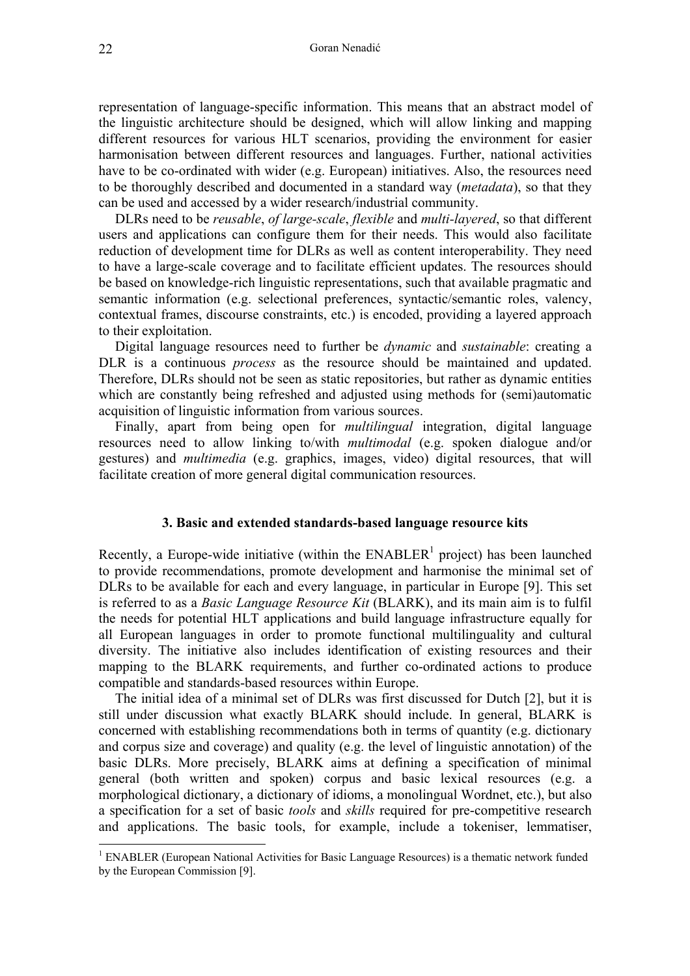representation of language-specific information. This means that an abstract model of the linguistic architecture should be designed, which will allow linking and mapping different resources for various HLT scenarios, providing the environment for easier harmonisation between different resources and languages. Further, national activities have to be co-ordinated with wider (e.g. European) initiatives. Also, the resources need to be thoroughly described and documented in a standard way (*metadata*), so that they can be used and accessed by a wider research/industrial community.

 DLRs need to be *reusable*, *of large-scale*, *flexible* and *multi-layered*, so that different users and applications can configure them for their needs. This would also facilitate reduction of development time for DLRs as well as content interoperability. They need to have a large-scale coverage and to facilitate efficient updates. The resources should be based on knowledge-rich linguistic representations, such that available pragmatic and semantic information (e.g. selectional preferences, syntactic/semantic roles, valency, contextual frames, discourse constraints, etc.) is encoded, providing a layered approach to their exploitation.

 Digital language resources need to further be *dynamic* and *sustainable*: creating a DLR is a continuous *process* as the resource should be maintained and updated. Therefore, DLRs should not be seen as static repositories, but rather as dynamic entities which are constantly being refreshed and adjusted using methods for (semi)automatic acquisition of linguistic information from various sources.

 Finally, apart from being open for *multilingual* integration, digital language resources need to allow linking to/with *multimodal* (e.g. spoken dialogue and/or gestures) and *multimedia* (e.g. graphics, images, video) digital resources, that will facilitate creation of more general digital communication resources.

#### **3. Basic and extended standards-based language resource kits**

Recently, a Europe-wide initiative (within the  $ENABLER<sup>1</sup>$  $ENABLER<sup>1</sup>$  $ENABLER<sup>1</sup>$  project) has been launched to provide recommendations, promote development and harmonise the minimal set of DLRs to be available for each and every language, in particular in Europe [9]. This set is referred to as a *Basic Language Resource Kit* (BLARK), and its main aim is to fulfil the needs for potential HLT applications and build language infrastructure equally for all European languages in order to promote functional multilinguality and cultural diversity. The initiative also includes identification of existing resources and their mapping to the BLARK requirements, and further co-ordinated actions to produce compatible and standards-based resources within Europe.

 The initial idea of a minimal set of DLRs was first discussed for Dutch [2], but it is still under discussion what exactly BLARK should include. In general, BLARK is concerned with establishing recommendations both in terms of quantity (e.g. dictionary and corpus size and coverage) and quality (e.g. the level of linguistic annotation) of the basic DLRs. More precisely, BLARK aims at defining a specification of minimal general (both written and spoken) corpus and basic lexical resources (e.g. a morphological dictionary, a dictionary of idioms, a monolingual Wordnet, etc.), but also a specification for a set of basic *tools* and *skills* required for pre-competitive research and applications. The basic tools, for example, include a tokeniser, lemmatiser,

<span id="page-3-0"></span><sup>&</sup>lt;sup>1</sup> ENABLER (European National Activities for Basic Language Resources) is a thematic network funded by the European Commission [9].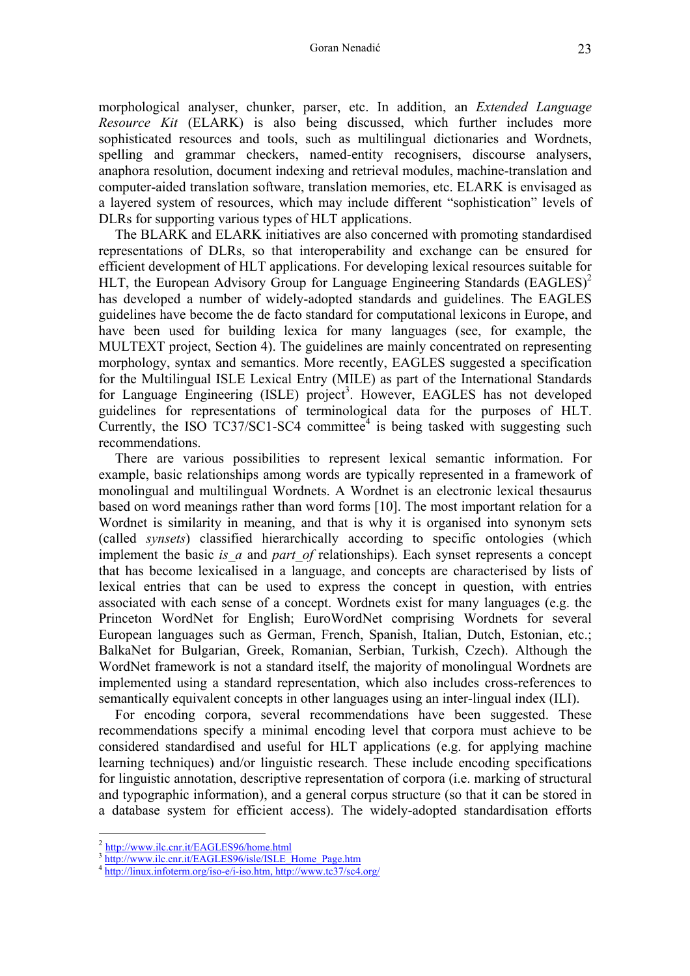morphological analyser, chunker, parser, etc. In addition, an *Extended Language Resource Kit* (ELARK) is also being discussed, which further includes more sophisticated resources and tools, such as multilingual dictionaries and Wordnets, spelling and grammar checkers, named-entity recognisers, discourse analysers, anaphora resolution, document indexing and retrieval modules, machine-translation and computer-aided translation software, translation memories, etc. ELARK is envisaged as a layered system of resources, which may include different "sophistication" levels of DLRs for supporting various types of HLT applications.

 The BLARK and ELARK initiatives are also concerned with promoting standardised representations of DLRs, so that interoperability and exchange can be ensured for efficient development of HLT applications. For developing lexical resources suitable for HLT, the European Advisory Group for Language Engineering Standards (EAGLES)<sup>[2](#page-4-0)</sup> has developed a number of widely-adopted standards and guidelines. The EAGLES guidelines have become the de facto standard for computational lexicons in Europe, and have been used for building lexica for many languages (see, for example, the MULTEXT project, Section 4). The guidelines are mainly concentrated on representing morphology, syntax and semantics. More recently, EAGLES suggested a specification for the Multilingual ISLE Lexical Entry (MILE) as part of the International Standards for Language Engineering (ISLE) project<sup>[3](#page-4-1)</sup>. However, EAGLES has not developed guidelines for representations of terminological data for the purposes of HLT. Currently, the ISO TC37/SC1-SC[4](#page-4-2) committee $4$  is being tasked with suggesting such recommendations.

 There are various possibilities to represent lexical semantic information. For example, basic relationships among words are typically represented in a framework of monolingual and multilingual Wordnets. A Wordnet is an electronic lexical thesaurus based on word meanings rather than word forms [10]. The most important relation for a Wordnet is similarity in meaning, and that is why it is organised into synonym sets (called *synsets*) classified hierarchically according to specific ontologies (which implement the basic *is a* and *part of* relationships). Each synset represents a concept that has become lexicalised in a language, and concepts are characterised by lists of lexical entries that can be used to express the concept in question, with entries associated with each sense of a concept. Wordnets exist for many languages (e.g. the Princeton WordNet for English; EuroWordNet comprising Wordnets for several European languages such as German, French, Spanish, Italian, Dutch, Estonian, etc.; BalkaNet for Bulgarian, Greek, Romanian, Serbian, Turkish, Czech). Although the WordNet framework is not a standard itself, the majority of monolingual Wordnets are implemented using a standard representation, which also includes cross-references to semantically equivalent concepts in other languages using an inter-lingual index (ILI).

 For encoding corpora, several recommendations have been suggested. These recommendations specify a minimal encoding level that corpora must achieve to be considered standardised and useful for HLT applications (e.g. for applying machine learning techniques) and/or linguistic research. These include encoding specifications for linguistic annotation, descriptive representation of corpora (i.e. marking of structural and typographic information), and a general corpus structure (so that it can be stored in a database system for efficient access). The widely-adopted standardisation efforts

<span id="page-4-0"></span><sup>2</sup> <http://www.ilc.cnr.it/EAGLES96/home.html>

<span id="page-4-1"></span>[http://www.ilc.cnr.it/EAGLES96/isle/ISLE\\_Home\\_Page.htm](http://www.ilc.cnr.it/EAGLES96/isle/ISLE_Home_Page.htm) 4 <http://linux.infoterm.org/iso-e/i-iso.htm, http://www.tc37/sc4.org/>

<span id="page-4-2"></span>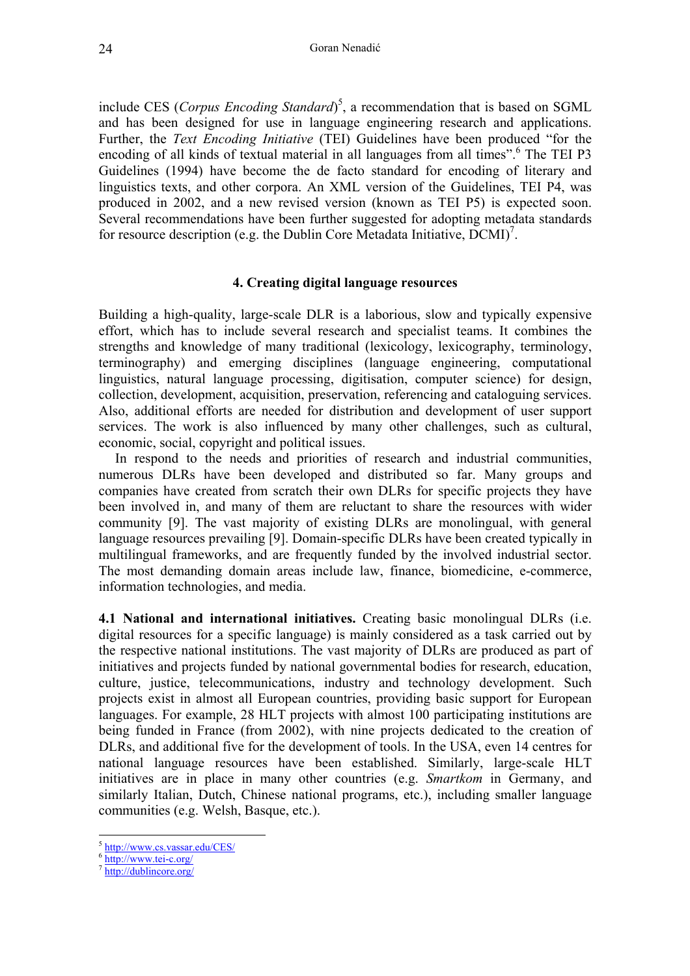include CES (*Corpus Encoding Standard*) [5](#page-5-0) , a recommendation that is based on SGML and has been designed for use in language engineering research and applications. Further, the *Text Encoding Initiative* (TEI) Guidelines have been produced "for the encoding of all kinds of textual material in all languages from all times".<sup>[6](#page-5-1)</sup> The TEI P3 Guidelines (1994) have become the de facto standard for encoding of literary and linguistics texts, and other corpora. An XML version of the Guidelines, TEI P4, was produced in 2002, and a new revised version (known as TEI P5) is expected soon. Several recommendations have been further suggested for adopting metadata standards for resource description (e.g. the Dublin Core Metadata Initiative,  $\overline{DCMI}^7$  $\overline{DCMI}^7$ .

## **4. Creating digital language resources**

Building a high-quality, large-scale DLR is a laborious, slow and typically expensive effort, which has to include several research and specialist teams. It combines the strengths and knowledge of many traditional (lexicology, lexicography, terminology, terminography) and emerging disciplines (language engineering, computational linguistics, natural language processing, digitisation, computer science) for design, collection, development, acquisition, preservation, referencing and cataloguing services. Also, additional efforts are needed for distribution and development of user support services. The work is also influenced by many other challenges, such as cultural, economic, social, copyright and political issues.

 In respond to the needs and priorities of research and industrial communities, numerous DLRs have been developed and distributed so far. Many groups and companies have created from scratch their own DLRs for specific projects they have been involved in, and many of them are reluctant to share the resources with wider community [9]. The vast majority of existing DLRs are monolingual, with general language resources prevailing [9]. Domain-specific DLRs have been created typically in multilingual frameworks, and are frequently funded by the involved industrial sector. The most demanding domain areas include law, finance, biomedicine, e-commerce, information technologies, and media.

**4.1 National and international initiatives.** Creating basic monolingual DLRs (i.e. digital resources for a specific language) is mainly considered as a task carried out by the respective national institutions. The vast majority of DLRs are produced as part of initiatives and projects funded by national governmental bodies for research, education, culture, justice, telecommunications, industry and technology development. Such projects exist in almost all European countries, providing basic support for European languages. For example, 28 HLT projects with almost 100 participating institutions are being funded in France (from 2002), with nine projects dedicated to the creation of DLRs, and additional five for the development of tools. In the USA, even 14 centres for national language resources have been established. Similarly, large-scale HLT initiatives are in place in many other countries (e.g. *Smartkom* in Germany, and similarly Italian, Dutch, Chinese national programs, etc.), including smaller language communities (e.g. Welsh, Basque, etc.).

<span id="page-5-0"></span><http://www.cs.vassar.edu/CES/>

<span id="page-5-1"></span><http://www.tei-c.org/>

<span id="page-5-2"></span><http://dublincore.org/>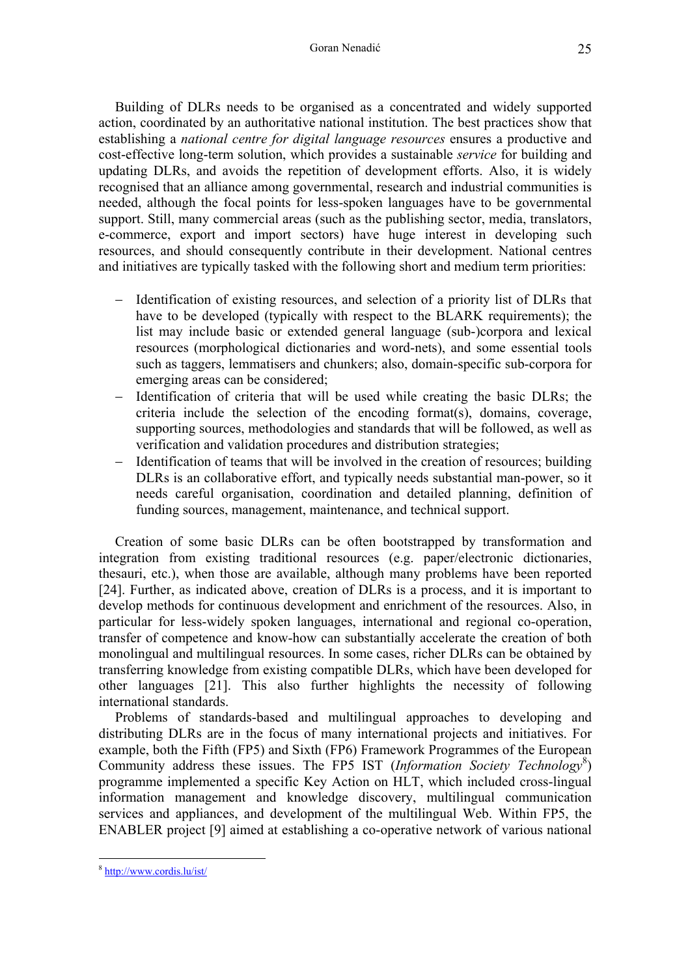Building of DLRs needs to be organised as a concentrated and widely supported action, coordinated by an authoritative national institution. The best practices show that establishing a *national centre for digital language resources* ensures a productive and cost-effective long-term solution, which provides a sustainable *service* for building and updating DLRs, and avoids the repetition of development efforts. Also, it is widely recognised that an alliance among governmental, research and industrial communities is needed, although the focal points for less-spoken languages have to be governmental support. Still, many commercial areas (such as the publishing sector, media, translators, e-commerce, export and import sectors) have huge interest in developing such resources, and should consequently contribute in their development. National centres and initiatives are typically tasked with the following short and medium term priorities:

- − Identification of existing resources, and selection of a priority list of DLRs that have to be developed (typically with respect to the BLARK requirements); the list may include basic or extended general language (sub-)corpora and lexical resources (morphological dictionaries and word-nets), and some essential tools such as taggers, lemmatisers and chunkers; also, domain-specific sub-corpora for emerging areas can be considered;
- − Identification of criteria that will be used while creating the basic DLRs; the criteria include the selection of the encoding format(s), domains, coverage, supporting sources, methodologies and standards that will be followed, as well as verification and validation procedures and distribution strategies;
- − Identification of teams that will be involved in the creation of resources; building DLRs is an collaborative effort, and typically needs substantial man-power, so it needs careful organisation, coordination and detailed planning, definition of funding sources, management, maintenance, and technical support.

 Creation of some basic DLRs can be often bootstrapped by transformation and integration from existing traditional resources (e.g. paper/electronic dictionaries, thesauri, etc.), when those are available, although many problems have been reported [24]. Further, as indicated above, creation of DLRs is a process, and it is important to develop methods for continuous development and enrichment of the resources. Also, in particular for less-widely spoken languages, international and regional co-operation, transfer of competence and know-how can substantially accelerate the creation of both monolingual and multilingual resources. In some cases, richer DLRs can be obtained by transferring knowledge from existing compatible DLRs, which have been developed for other languages [21]. This also further highlights the necessity of following international standards.

Problems of standards-based and multilingual approaches to developing and distributing DLRs are in the focus of many international projects and initiatives. For example, both the Fifth (FP5) and Sixth (FP6) Framework Programmes of the European Community address these issues. The FP5 IST (*Information Society Technology*<sup>[8](#page-6-0)</sup>) programme implemented a specific Key Action on HLT, which included cross-lingual information management and knowledge discovery, multilingual communication services and appliances, and development of the multilingual Web. Within FP5, the ENABLER project [9] aimed at establishing a co-operative network of various national

<span id="page-6-0"></span><sup>8</sup> <http://www.cordis.lu/ist/>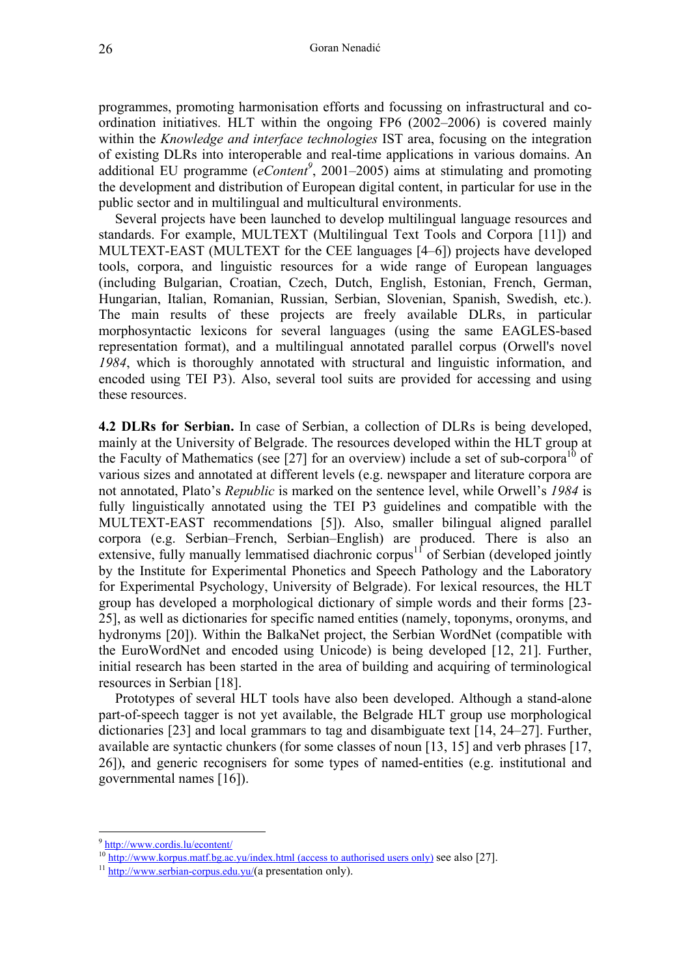programmes, promoting harmonisation efforts and focussing on infrastructural and coordination initiatives. HLT within the ongoing FP6 (2002–2006) is covered mainly within the *Knowledge and interface technologies* IST area, focusing on the integration of existing DLRs into interoperable and real-time applications in various domains. An additional EU programme (*eContent[9](#page-7-0)* , 2001–2005) aims at stimulating and promoting the development and distribution of European digital content, in particular for use in the public sector and in multilingual and multicultural environments.

 Several projects have been launched to develop multilingual language resources and standards. For example, MULTEXT (Multilingual Text Tools and Corpora [11]) and MULTEXT-EAST (MULTEXT for the CEE languages [4–6]) projects have developed tools, corpora, and linguistic resources for a wide range of European languages (including Bulgarian, Croatian, Czech, Dutch, English, Estonian, French, German, Hungarian, Italian, Romanian, Russian, Serbian, Slovenian, Spanish, Swedish, etc.). The main results of these projects are freely available DLRs, in particular morphosyntactic lexicons for several languages (using the same EAGLES-based representation format), and a multilingual annotated parallel corpus (Orwell's novel *1984*, which is thoroughly annotated with structural and linguistic information, and encoded using TEI P3). Also, several tool suits are provided for accessing and using these resources.

**4.2 DLRs for Serbian.** In case of Serbian, a collection of DLRs is being developed, mainly at the University of Belgrade. The resources developed within the HLT group at the Faculty of Mathematics (see [27] for an overview) include a set of sub-corpora<sup>10</sup> of various sizes and annotated at different levels (e.g. newspaper and literature corpora are not annotated, Plato's *Republic* is marked on the sentence level, while Orwell's *1984* is fully linguistically annotated using the TEI P3 guidelines and compatible with the MULTEXT-EAST recommendations [5]). Also, smaller bilingual aligned parallel corpora (e.g. Serbian–French, Serbian–English) are produced. There is also an extensive, fully manually lemmatised diachronic corpus<sup>11</sup> of Serbian (developed jointly by the Institute for Experimental Phonetics and Speech Pathology and the Laboratory for Experimental Psychology, University of Belgrade). For lexical resources, the HLT group has developed a morphological dictionary of simple words and their forms [23- 25], as well as dictionaries for specific named entities (namely, toponyms, oronyms, and hydronyms [20]). Within the BalkaNet project, the Serbian WordNet (compatible with the EuroWordNet and encoded using Unicode) is being developed [12, 21]. Further, initial research has been started in the area of building and acquiring of terminological resources in Serbian [18].

Prototypes of several HLT tools have also been developed. Although a stand-alone part-of-speech tagger is not yet available, the Belgrade HLT group use morphological dictionaries [23] and local grammars to tag and disambiguate text [14, 24–27]. Further, available are syntactic chunkers (for some classes of noun [13, 15] and verb phrases [17, 26]), and generic recognisers for some types of named-entities (e.g. institutional and governmental names [16]).

<span id="page-7-0"></span><sup>&</sup>lt;sup>9</sup> <http://www.cordis.lu/econtent/>

<span id="page-7-1"></span><sup>&</sup>lt;sup>10</sup> http://www.korpus.matf.bg.ac.yu/index.html (access to authorised users only) see also [27].<br><sup>11</sup> [http://www.serbian-corpus.edu.yu/\(](http://www.serbian-corpus.edu.yu/)a presentation only).

<span id="page-7-2"></span>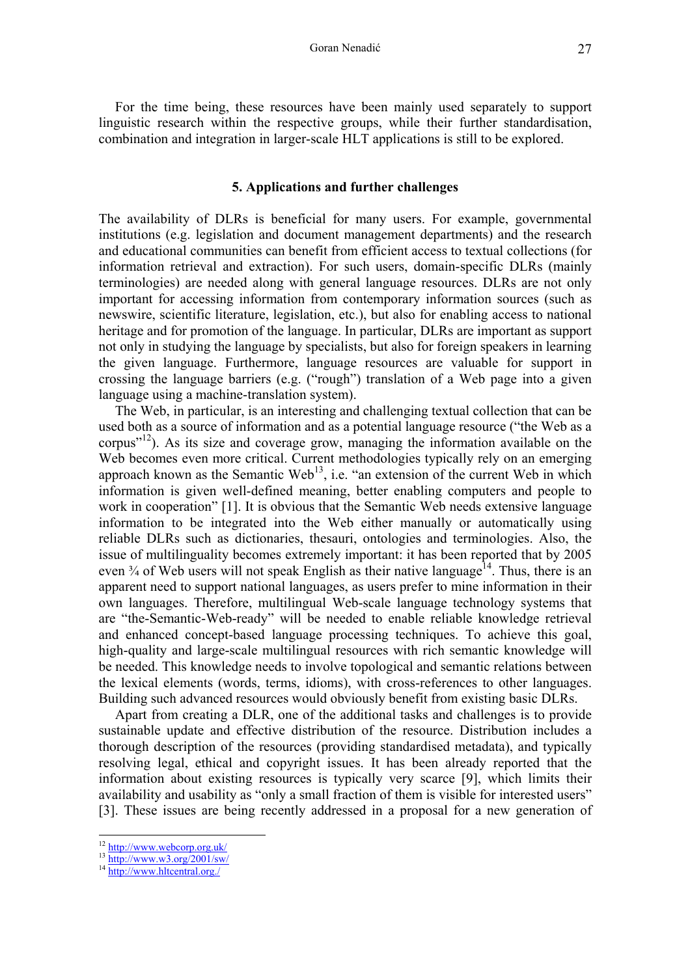For the time being, these resources have been mainly used separately to support linguistic research within the respective groups, while their further standardisation, combination and integration in larger-scale HLT applications is still to be explored.

## **5. Applications and further challenges**

The availability of DLRs is beneficial for many users. For example, governmental institutions (e.g. legislation and document management departments) and the research and educational communities can benefit from efficient access to textual collections (for information retrieval and extraction). For such users, domain-specific DLRs (mainly terminologies) are needed along with general language resources. DLRs are not only important for accessing information from contemporary information sources (such as newswire, scientific literature, legislation, etc.), but also for enabling access to national heritage and for promotion of the language. In particular, DLRs are important as support not only in studying the language by specialists, but also for foreign speakers in learning the given language. Furthermore, language resources are valuable for support in crossing the language barriers (e.g. ("rough") translation of a Web page into a given language using a machine-translation system).

 The Web, in particular, is an interesting and challenging textual collection that can be used both as a source of information and as a potential language resource ("the Web as a corpus"[12\)](#page-8-0). As its size and coverage grow, managing the information available on the Web becomes even more critical. Current methodologies typically rely on an emerging approach known as the Semantic Web<sup>13</sup>, i.e. "an extension of the current Web in which information is given well-defined meaning, better enabling computers and people to work in cooperation" [1]. It is obvious that the Semantic Web needs extensive language information to be integrated into the Web either manually or automatically using reliable DLRs such as dictionaries, thesauri, ontologies and terminologies. Also, the issue of multilinguality becomes extremely important: it has been reported that by 2005 even  $\frac{3}{4}$  of Web users will not speak English as their native language<sup>14</sup>. Thus, there is an apparent need to support national languages, as users prefer to mine information in their own languages. Therefore, multilingual Web-scale language technology systems that are "the-Semantic-Web-ready" will be needed to enable reliable knowledge retrieval and enhanced concept-based language processing techniques. To achieve this goal, high-quality and large-scale multilingual resources with rich semantic knowledge will be needed. This knowledge needs to involve topological and semantic relations between the lexical elements (words, terms, idioms), with cross-references to other languages. Building such advanced resources would obviously benefit from existing basic DLRs.

Apart from creating a DLR, one of the additional tasks and challenges is to provide sustainable update and effective distribution of the resource. Distribution includes a thorough description of the resources (providing standardised metadata), and typically resolving legal, ethical and copyright issues. It has been already reported that the information about existing resources is typically very scarce [9], which limits their availability and usability as "only a small fraction of them is visible for interested users" [3]. These issues are being recently addressed in a proposal for a new generation of

<span id="page-8-2"></span><span id="page-8-1"></span>

<span id="page-8-0"></span> $12 \frac{\text{http://www.webcorp.org.uk/}}{13 \frac{\text{http://www.webcorp.org.uk/}}{14 \frac{\text{http://www.w3.org/2001/sw/}}{14}}$  $12 \frac{\text{http://www.webcorp.org.uk/}}{13 \frac{\text{http://www.webcorp.org.uk/}}{14 \frac{\text{http://www.w3.org/2001/sw/}}{14}}$  $12 \frac{\text{http://www.webcorp.org.uk/}}{13 \frac{\text{http://www.webcorp.org.uk/}}{14 \frac{\text{http://www.w3.org/2001/sw/}}{14}}$  $12 \frac{\text{http://www.webcorp.org.uk/}}{13 \frac{\text{http://www.webcorp.org.uk/}}{14 \frac{\text{http://www.w3.org/2001/sw/}}{14}}$  $12 \frac{\text{http://www.webcorp.org.uk/}}{13 \frac{\text{http://www.webcorp.org.uk/}}{14 \frac{\text{http://www.w3.org/2001/sw/}}{14}}$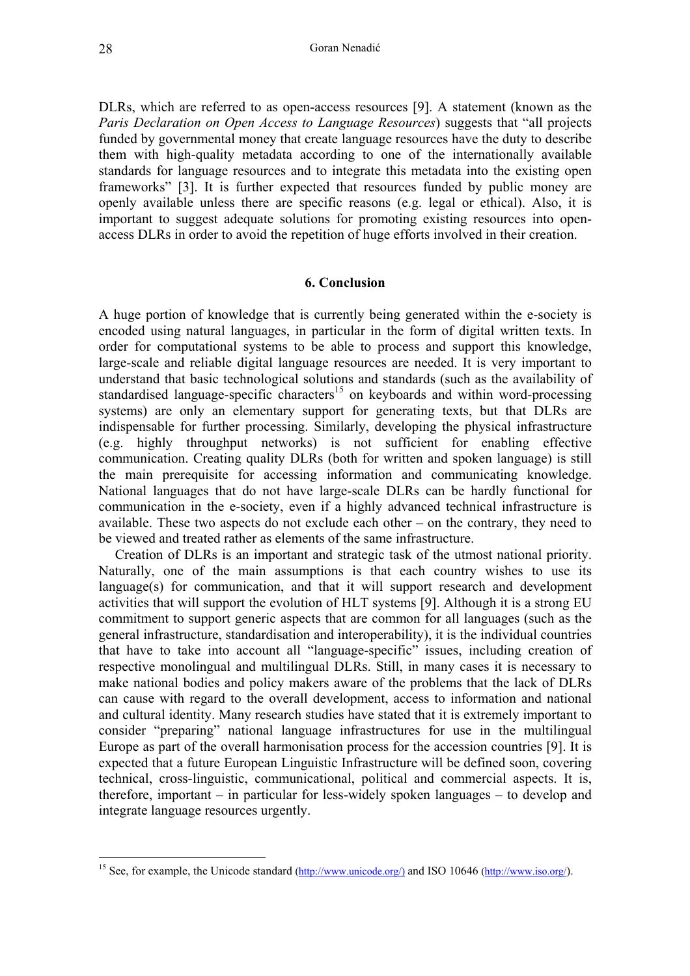DLRs, which are referred to as open-access resources [9]. A statement (known as the *Paris Declaration on Open Access to Language Resources*) suggests that "all projects funded by governmental money that create language resources have the duty to describe them with high-quality metadata according to one of the internationally available standards for language resources and to integrate this metadata into the existing open frameworks" [3]. It is further expected that resources funded by public money are openly available unless there are specific reasons (e.g. legal or ethical). Also, it is important to suggest adequate solutions for promoting existing resources into openaccess DLRs in order to avoid the repetition of huge efforts involved in their creation.

#### **6. Conclusion**

A huge portion of knowledge that is currently being generated within the e-society is encoded using natural languages, in particular in the form of digital written texts. In order for computational systems to be able to process and support this knowledge, large-scale and reliable digital language resources are needed. It is very important to understand that basic technological solutions and standards (such as the availability of standardised language-specific characters<sup>15</sup> on keyboards and within word-processing systems) are only an elementary support for generating texts, but that DLRs are indispensable for further processing. Similarly, developing the physical infrastructure (e.g. highly throughput networks) is not sufficient for enabling effective communication. Creating quality DLRs (both for written and spoken language) is still the main prerequisite for accessing information and communicating knowledge. National languages that do not have large-scale DLRs can be hardly functional for communication in the e-society, even if a highly advanced technical infrastructure is available. These two aspects do not exclude each other – on the contrary, they need to be viewed and treated rather as elements of the same infrastructure.

Creation of DLRs is an important and strategic task of the utmost national priority. Naturally, one of the main assumptions is that each country wishes to use its language(s) for communication, and that it will support research and development activities that will support the evolution of HLT systems [9]. Although it is a strong EU commitment to support generic aspects that are common for all languages (such as the general infrastructure, standardisation and interoperability), it is the individual countries that have to take into account all "language-specific" issues, including creation of respective monolingual and multilingual DLRs. Still, in many cases it is necessary to make national bodies and policy makers aware of the problems that the lack of DLRs can cause with regard to the overall development, access to information and national and cultural identity. Many research studies have stated that it is extremely important to consider "preparing" national language infrastructures for use in the multilingual Europe as part of the overall harmonisation process for the accession countries [9]. It is expected that a future European Linguistic Infrastructure will be defined soon, covering technical, cross-linguistic, communicational, political and commercial aspects. It is, therefore, important – in particular for less-widely spoken languages – to develop and integrate language resources urgently.

<span id="page-9-0"></span><sup>&</sup>lt;sup>15</sup> See, for example, the Unicode standard ([http://www.unicode.org/\)](http://www.unicode.org/)) and ISO 10646 [\(http://www.iso.org/\)](http://www.iso.org/).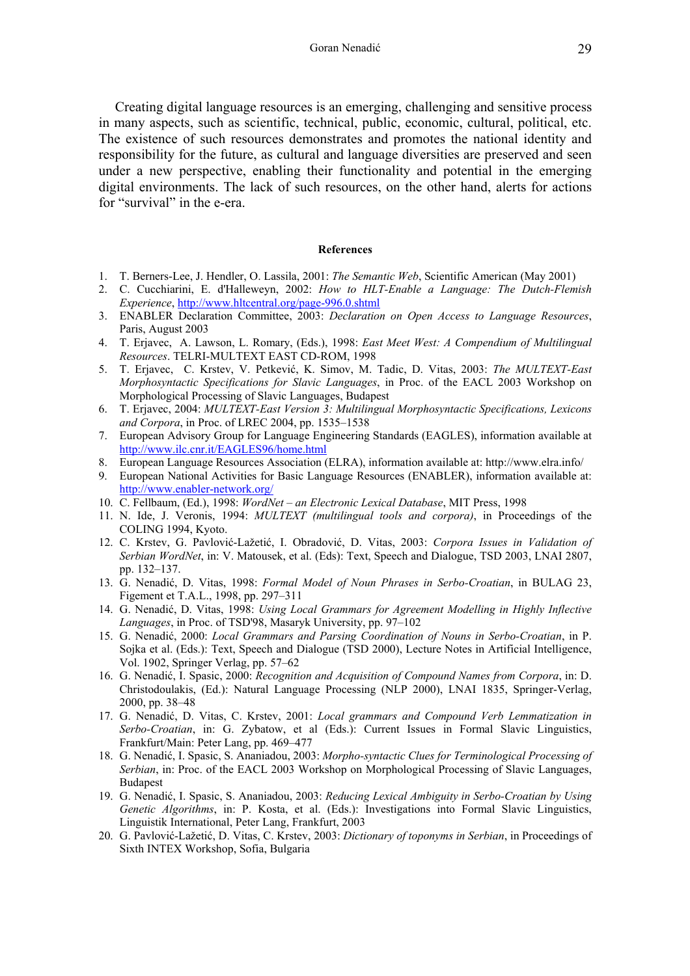Creating digital language resources is an emerging, challenging and sensitive process in many aspects, such as scientific, technical, public, economic, cultural, political, etc. The existence of such resources demonstrates and promotes the national identity and responsibility for the future, as cultural and language diversities are preserved and seen under a new perspective, enabling their functionality and potential in the emerging digital environments. The lack of such resources, on the other hand, alerts for actions for "survival" in the e-era.

#### **References**

- 1. T. Berners-Lee, J. Hendler, O. Lassila, 2001: *The Semantic Web*, Scientific American (May 2001)
- 2. C. Cucchiarini, E. d'Halleweyn, 2002: *How to HLT-Enable a Language: The Dutch-Flemish Experience*,<http://www.hltcentral.org/page-996.0.shtml>
- 3. ENABLER Declaration Committee, 2003: *Declaration on Open Access to Language Resources*, Paris, August 2003
- 4. T. Erjavec, A. Lawson, L. Romary, (Eds.), 1998: *East Meet West: A Compendium of Multilingual Resources*. TELRI-MULTEXT EAST CD-ROM, 1998
- 5. T. Erjavec, C. Krstev, V. Petkević, K. Simov, M. Tadic, D. Vitas, 2003: *The MULTEXT-East Morphosyntactic Specifications for Slavic Languages*, in Proc. of the EACL 2003 Workshop on Morphological Processing of Slavic Languages, Budapest
- 6. T. Erjavec, 2004: *MULTEXT-East Version 3: Multilingual Morphosyntactic Specifications, Lexicons and Corpora*, in Proc. of LREC 2004, pp. 1535–1538
- 7. European Advisory Group for Language Engineering Standards (EAGLES), information available at <http://www.ilc.cnr.it/EAGLES96/home.html>
- 8. European Language Resources Association (ELRA), information available at: http://www.elra.info/
- 9. European National Activities for Basic Language Resources (ENABLER), information available at: <http://www.enabler-network.org/>
- 10. C. Fellbaum, (Ed.), 1998: *WordNet an Electronic Lexical Database*, MIT Press, 1998
- 11. N. Ide, J. Veronis, 1994: *MULTEXT (multilingual tools and corpora)*, in Proceedings of the COLING 1994, Kyoto.
- 12. C. Krstev, G. Pavlović-Lažetić, I. Obradović, D. Vitas, 2003: *Corpora Issues in Validation of Serbian WordNet*, in: V. Matousek, et al. (Eds): Text, Speech and Dialogue, TSD 2003, LNAI 2807, pp. 132–137.
- 13. G. Nenadić, D. Vitas, 1998: *Formal Model of Noun Phrases in Serbo-Croatian*, in BULAG 23, Figement et T.A.L., 1998, pp. 297–311
- 14. G. Nenadić, D. Vitas, 1998: *Using Local Grammars for Agreement Modelling in Highly Inflective Languages*, in Proc. of TSD'98, Masaryk University, pp. 97–102
- 15. G. Nenadić, 2000: *Local Grammars and Parsing Coordination of Nouns in Serbo-Croatian*, in P. Sojka et al. (Eds.): Text, Speech and Dialogue (TSD 2000), Lecture Notes in Artificial Intelligence, Vol. 1902, Springer Verlag, pp. 57–62
- 16. G. Nenadić, I. Spasic, 2000: *Recognition and Acquisition of Compound Names from Corpora*, in: D. Christodoulakis, (Ed.): Natural Language Processing (NLP 2000), LNAI 1835, Springer-Verlag, 2000, pp. 38–48
- 17. G. Nenadić, D. Vitas, C. Krstev, 2001: *Local grammars and Compound Verb Lemmatization in Serbo-Croatian*, in: G. Zybatow, et al (Eds.): Current Issues in Formal Slavic Linguistics, Frankfurt/Main: Peter Lang, pp. 469–477
- 18. G. Nenadić, I. Spasic, S. Ananiadou, 2003: *Morpho-syntactic Clues for Terminological Processing of Serbian*, in: Proc. of the EACL 2003 Workshop on Morphological Processing of Slavic Languages, Budapest
- 19. G. Nenadić, I. Spasic, S. Ananiadou, 2003: *Reducing Lexical Ambiguity in Serbo-Croatian by Using Genetic Algorithms*, in: P. Kosta, et al. (Eds.): Investigations into Formal Slavic Linguistics, Linguistik International, Peter Lang, Frankfurt, 2003
- 20. G. Pavlović-Lažetić, D. Vitas, C. Krstev, 2003: *Dictionary of toponyms in Serbian*, in Proceedings of Sixth INTEX Workshop, Sofia, Bulgaria